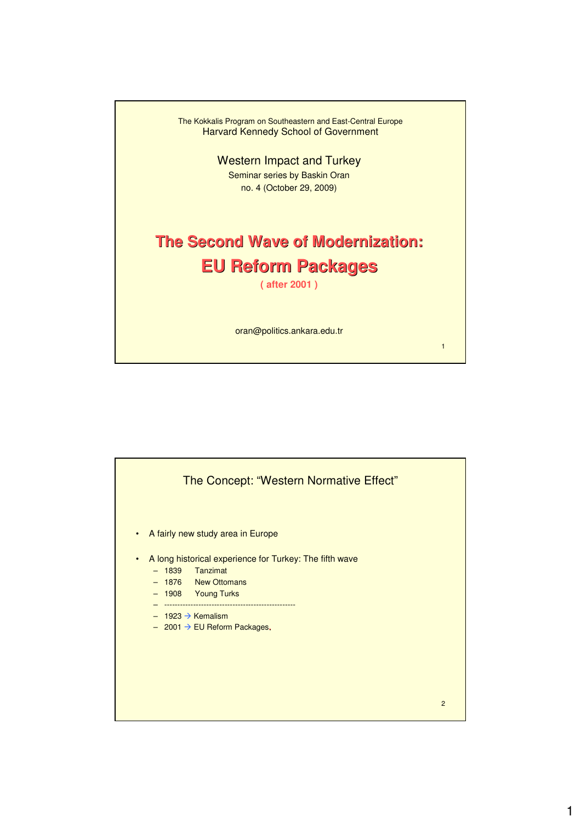

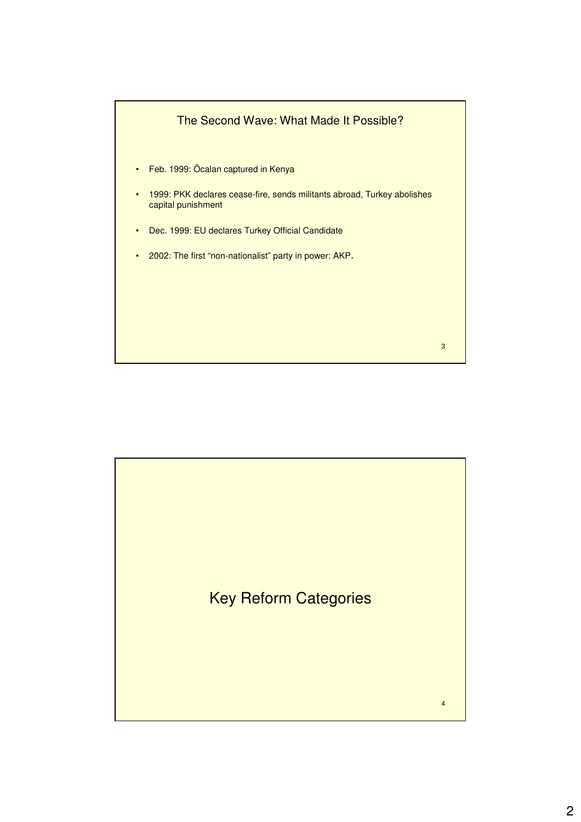

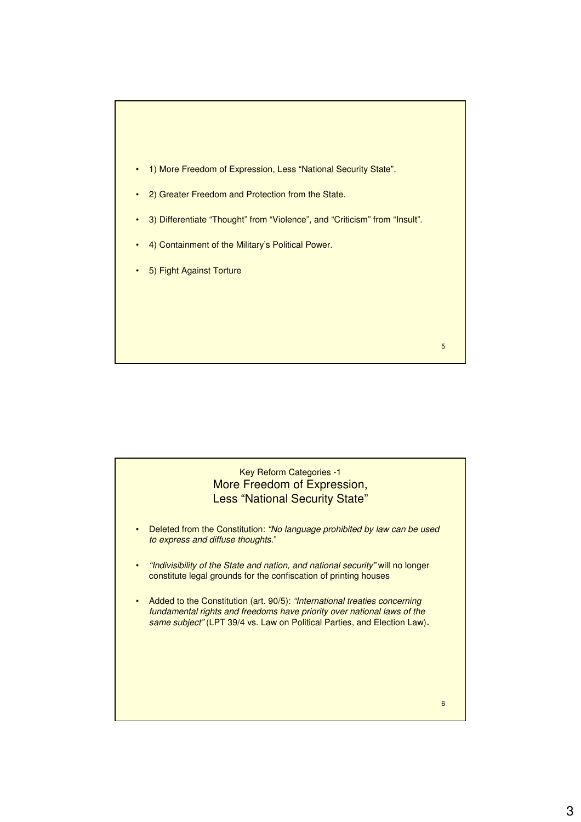

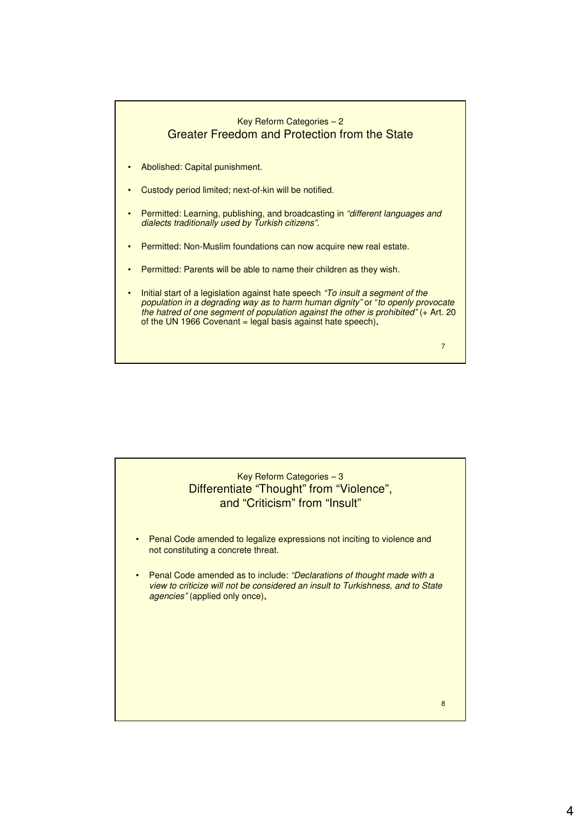

8 Key Reform Categories – 3 Differentiate "Thought" from "Violence", and "Criticism" from "Insult" • Penal Code amended to legalize expressions not inciting to violence and not constituting a concrete threat. • Penal Code amended as to include: "Declarations of thought made with a view to criticize will not be considered an insult to Turkishness, and to State agencies" (applied only once)**.**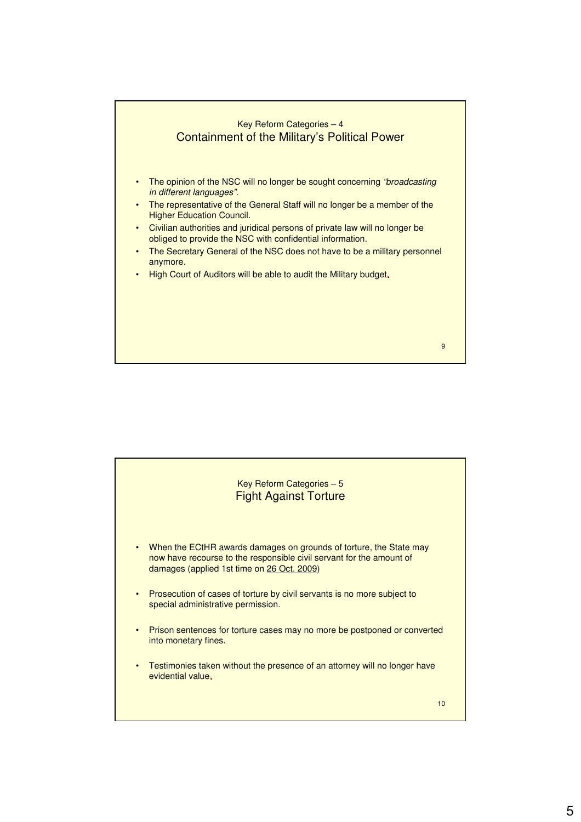

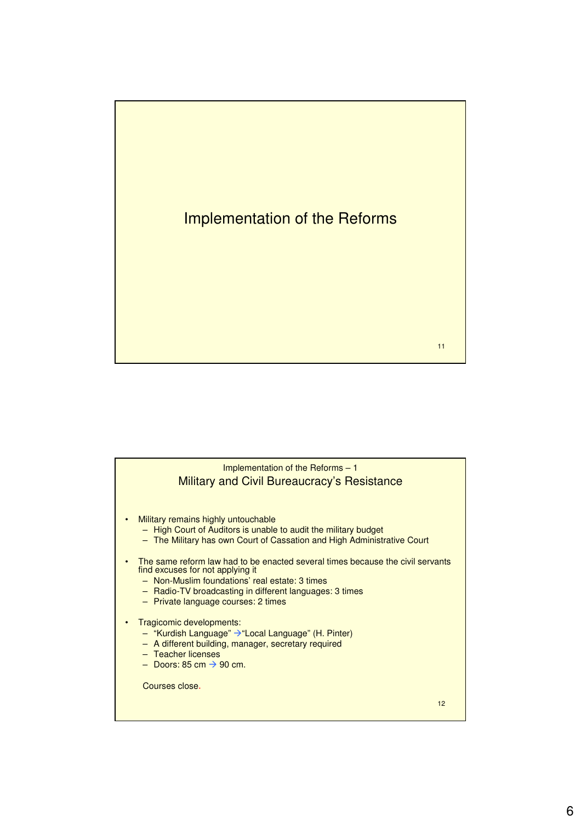

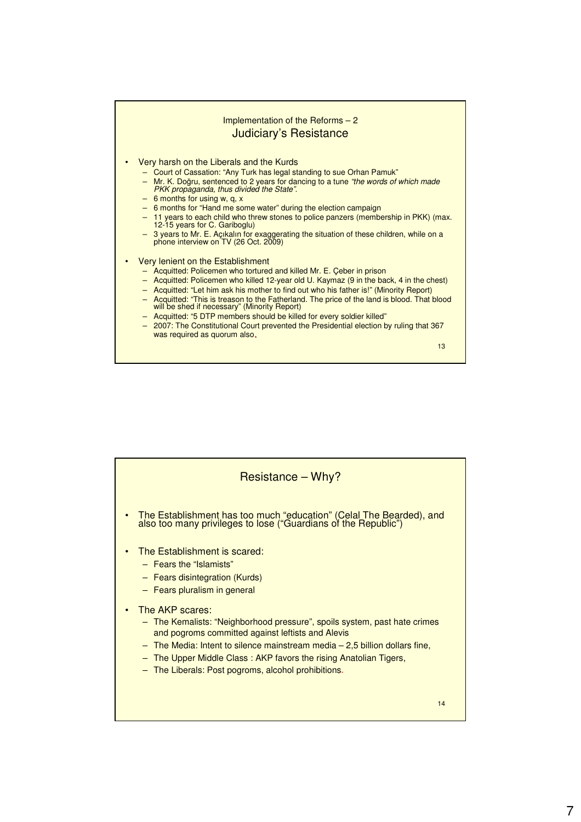

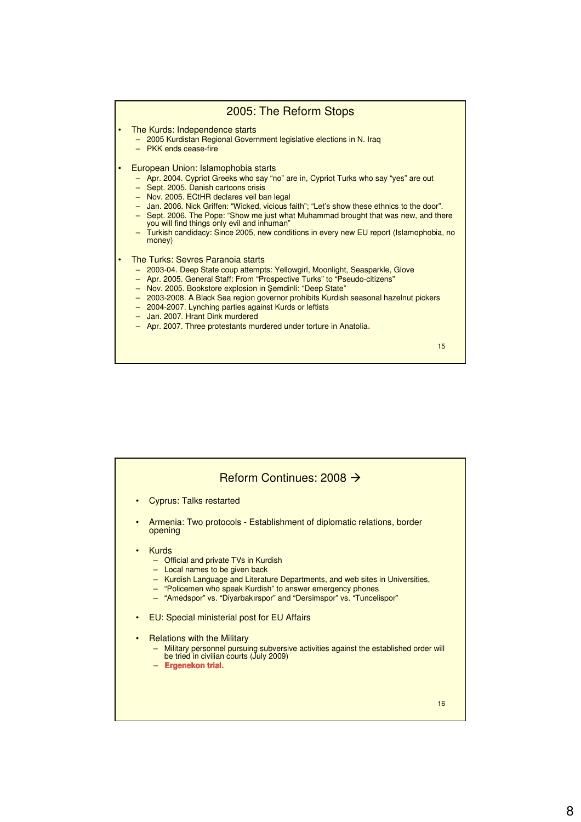## 2005: The Reform Stops

- The Kurds: Independence starts
	- 2005 Kurdistan Regional Government legislative elections in N. Iraq
	- PKK ends cease-fire
- European Union: Islamophobia starts
	- Apr. 2004. Cypriot Greeks who say "no" are in, Cypriot Turks who say "yes" are out
	- Sept. 2005. Danish cartoons crisis
	- Nov. 2005. ECtHR declares veil ban legal
	- Jan. 2006. Nick Griffen: "Wicked, vicious faith"; "Let's show these ethnics to the door".
	- Sept. 2006. The Pope: "Show me just what Muhammad brought that was new, and there you will find things only evil and inhuman"
	- Turkish candidacy: Since 2005, new conditions in every new EU report (Islamophobia, no money)

## • The Turks: Sevres Paranoia starts

- 2003-04. Deep State coup attempts: Yellowgirl, Moonlight, Seasparkle, Glove
- Apr. 2005. General Staff: From "Prospective Turks" to "Pseudo-citizens"
- Nov. 2005. Bookstore explosion in Şemdinli: "Deep State"
- 2003-2008. A Black Sea region governor prohibits Kurdish seasonal hazelnut pickers
- 2004-2007. Lynching parties against Kurds or leftists
- Jan. 2007. Hrant Dink murdered
- Apr. 2007. Three protestants murdered under torture in Anatolia**.**

15

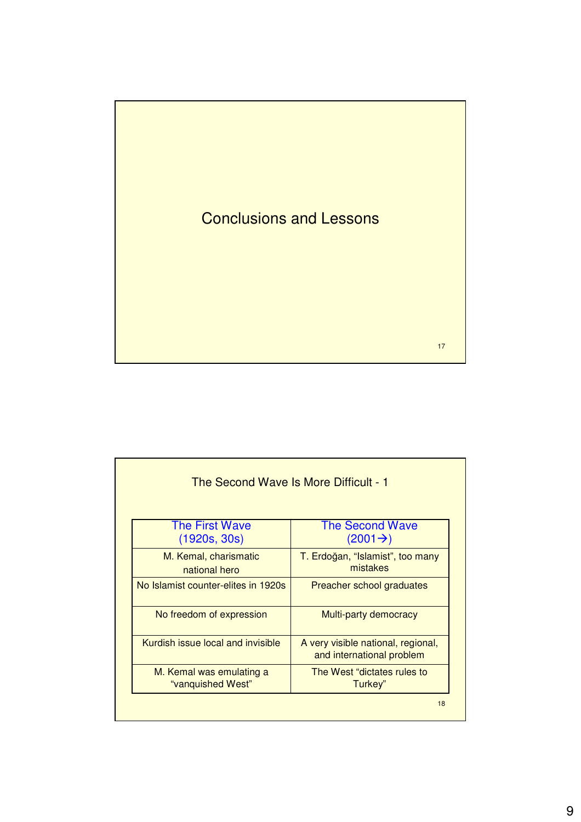

| The Second Wave Is More Difficult - 1         |                                                                 |  |  |  |
|-----------------------------------------------|-----------------------------------------------------------------|--|--|--|
| <b>The First Wave</b><br>(1920s, 30s)         | <b>The Second Wave</b><br>$(2001 \rightarrow)$                  |  |  |  |
| M. Kemal, charismatic<br>national hero        | T. Erdoğan, "Islamist", too many<br>mistakes                    |  |  |  |
| No Islamist counter-elites in 1920s           | Preacher school graduates                                       |  |  |  |
| No freedom of expression                      | Multi-party democracy                                           |  |  |  |
| Kurdish issue local and invisible             | A very visible national, regional,<br>and international problem |  |  |  |
| M. Kemal was emulating a<br>"vanquished West" | The West "dictates rules to<br>Turkey"                          |  |  |  |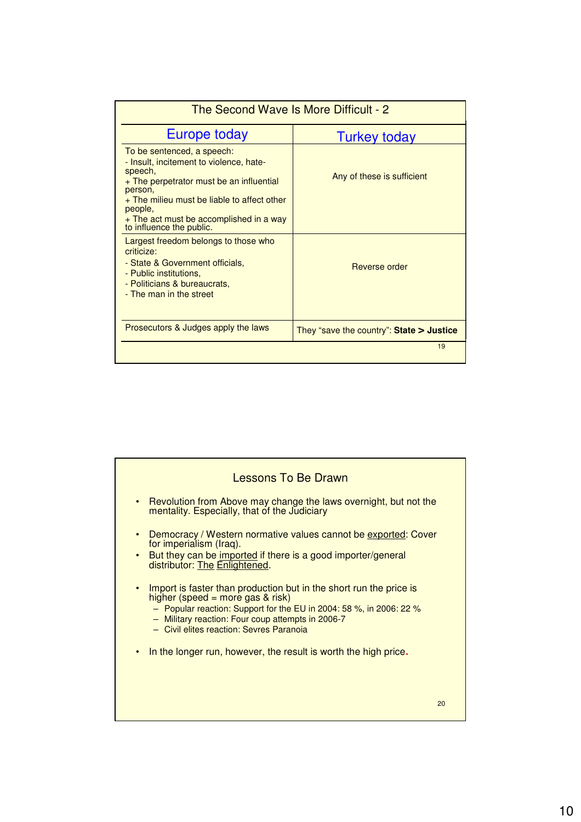| The Second Wave Is More Difficult - 2                                                                                                                                                  |                                            |  |
|----------------------------------------------------------------------------------------------------------------------------------------------------------------------------------------|--------------------------------------------|--|
| Europe today                                                                                                                                                                           | <b>Turkey today</b>                        |  |
| To be sentenced, a speech:<br>- Insult, incitement to violence, hate-<br>speech,<br>+ The perpetrator must be an influential<br>person,<br>+ The milieu must be liable to affect other | Any of these is sufficient                 |  |
| people,<br>+ The act must be accomplished in a way<br>to influence the public.                                                                                                         |                                            |  |
| Largest freedom belongs to those who<br>criticize:<br>- State & Government officials,<br>- Public institutions,<br>- Politicians & bureaucrats,<br>- The man in the street             | Reverse order                              |  |
| Prosecutors & Judges apply the laws                                                                                                                                                    | They "save the country": State $>$ Justice |  |
|                                                                                                                                                                                        | 19                                         |  |

| Lessons To Be Drawn                                                                                                                                                                                                                                                                                                                                                                                                  |  |
|----------------------------------------------------------------------------------------------------------------------------------------------------------------------------------------------------------------------------------------------------------------------------------------------------------------------------------------------------------------------------------------------------------------------|--|
| Revolution from Above may change the laws overnight, but not the<br>$\bullet$<br>mentality. Especially, that of the Judiciary                                                                                                                                                                                                                                                                                        |  |
| Democracy / Western normative values cannot be exported: Cover<br>$\bullet$<br>for imperialism (Iraq).<br>But they can be imported if there is a good importer/general<br>$\bullet$<br>distributor: The Enlightened.<br>Import is faster than production but in the short run the price is<br>$\bullet$<br>higher (speed = more gas $&$ risk)<br>- Popular reaction: Support for the EU in 2004: 58 %, in 2006: 22 % |  |
| - Military reaction: Four coup attempts in 2006-7<br>- Civil elites reaction: Sevres Paranoia                                                                                                                                                                                                                                                                                                                        |  |
| In the longer run, however, the result is worth the high price.<br>$\bullet$                                                                                                                                                                                                                                                                                                                                         |  |
| 20                                                                                                                                                                                                                                                                                                                                                                                                                   |  |